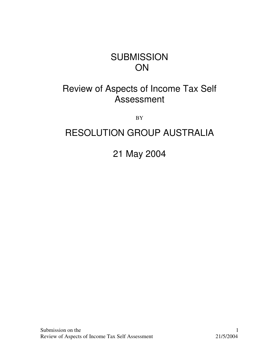# **SUBMISSION ON**

# Review of Aspects of Income Tax Self Assessment

BY

# RESOLUTION GROUP AUSTRALIA

21 May 2004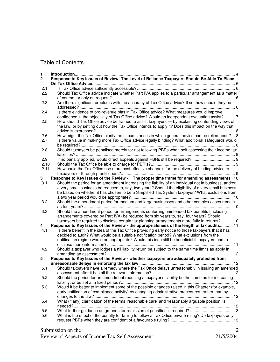# Table of Contents

| 1<br>2 | Response to Key Issues of Review- The Level of Reliance Taxpayers Should Be Able To Place              |
|--------|--------------------------------------------------------------------------------------------------------|
| 2.1    |                                                                                                        |
| 2.2    | Should Tax Office advice indicate whether Part IVA applies to a particular arrangement as a matter     |
|        |                                                                                                        |
| 2.3    | Are there significant problems with the accuracy of Tax Office advice? If so, how should they be       |
|        |                                                                                                        |
| 2.4    | Is there evidence of pro-revenue bias in Tax Office advice? What measures would improve                |
|        | confidence in the objectivity of Tax Office advice? Would an independent evaluation assist?  7         |
| 2.5    | How should Tax Office advice be framed to assist taxpayers — by explaining contending views of         |
|        | the law, or by setting out how the Tax Office intends to apply it? Does this impact on the way that    |
|        |                                                                                                        |
| 2.6    | How might the Tax Office clarify the circumstances in which general advice can be relied upon? 8       |
| 2.7    | Is there value in making more Tax Office advice legally binding? What additional safeguards would      |
|        |                                                                                                        |
| 2.8    | Should taxpayers be penalised merely for not following PBRs when self assessing their income tax       |
|        |                                                                                                        |
| 2.9    | If no penalty applied, would direct appeals against PBRs still be required?  9                         |
| 2.10   |                                                                                                        |
| 2.11   | How could the Tax Office use more cost effective channels for the delivery of binding advice to        |
|        |                                                                                                        |
| 3      | Response to Key Issues of the Review - The proper time frame for amending assessments . 10             |
| 3.1    | Should the period for an amendment increasing the liability of an individual not in business, and/or   |
|        | a very small business be reduced to, say, two years? Should the eligibility of a very small business   |
|        | be based on whether it has chosen to be a Simplified Tax System taxpayer? What exclusions from         |
|        |                                                                                                        |
| 3.2    | Should the amendment period for medium and large businesses and other complex cases remain             |
|        |                                                                                                        |
| 3.3    | Should the amendment period for arrangements conferring unintended tax benefits (including             |
|        | arrangements covered by Part IVA) be reduced from six years to, say, four years? Should                |
|        | taxpayers be required to disclose certain tax planning arrangements more fully in returns? 10          |
| 4      | Response to Key Issues of the Review - the appropriateness of the length of tax audits 11              |
| 4.1    | Is there benefit in the idea of the Tax Office providing early notice to those taxpayers that it has   |
|        | decided to audit? What would be a suitable notification period? What exclusions from the               |
|        | notification regime would be appropriate? Would this idea still be beneficial if taxpayers had to      |
|        |                                                                                                        |
| 4.2    | Should a taxpayer who lodges a nil liability return be subject to the same time limits as apply in     |
|        | Response to Key Issues of the Review - whether taxpayers are adequately protected from                 |
| 5      |                                                                                                        |
| 5.1    | Should taxpayers have a remedy where the Tax Office delays unreasonably in issuing an amended          |
|        |                                                                                                        |
| 5.2    | Should the period for an amendment reducing a taxpayer's liability be the same as for increasing       |
|        |                                                                                                        |
| 5.3    | Would it be better to implement some of the possible changes raised in this Chapter (for example,      |
|        | early notification of compliance activity) by changing administrative procedures, rather than by       |
|        |                                                                                                        |
| 5.4    | What (if any) clarification of the terms 'reasonable care' and 'reasonably arguable position' is       |
|        |                                                                                                        |
| 5.5    | What further guidance on grounds for remission of penalties is required?  13                           |
| 5.6    | What is the effect of the penalty for failing to follow a Tax Office private ruling? Do taxpayers only |
|        |                                                                                                        |
|        |                                                                                                        |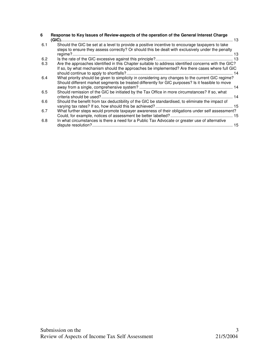| 6   | Response to Key Issues of Review-aspects of the operation of the General Interest Charge                                                                                                              |
|-----|-------------------------------------------------------------------------------------------------------------------------------------------------------------------------------------------------------|
| 6.1 | Should the GIC be set at a level to provide a positive incentive to encourage taxpayers to take<br>steps to ensure they assess correctly? Or should this be dealt with exclusively under the penalty  |
| 6.2 |                                                                                                                                                                                                       |
| 6.3 | Are the approaches identified in this Chapter suitable to address identified concerns with the GIC?<br>If so, by what mechanism should the approaches be implemented? Are there cases where full GIC  |
| 6.4 | What priority should be given to simplicity in considering any changes to the current GIC regime?<br>Should different market segments be treated differently for GIC purposes? Is it feasible to move |
| 6.5 | Should remission of the GIC be initiated by the Tax Office in more circumstances? If so, what                                                                                                         |
| 6.6 | Should the benefit from tax deductibility of the GIC be standardised, to eliminate the impact of                                                                                                      |
| 6.7 | What further steps would promote taxpayer awareness of their obligations under self assessment?                                                                                                       |
| 6.8 | In what circumstances is there a need for a Public Tax Advocate or greater use of alternative                                                                                                         |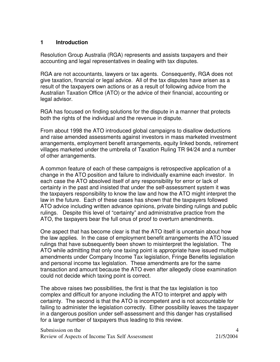## **1 Introduction**

Resolution Group Australia (RGA) represents and assists taxpayers and their accounting and legal representatives in dealing with tax disputes.

RGA are not accountants, lawyers or tax agents. Consequently, RGA does not give taxation, financial or legal advice. All of the tax disputes have arisen as a result of the taxpayers own actions or as a result of following advice from the Australian Taxation Office (ATO) or the advice of their financial, accounting or legal advisor.

RGA has focused on finding solutions for the dispute in a manner that protects both the rights of the individual and the revenue in dispute.

From about 1998 the ATO introduced global campaigns to disallow deductions and raise amended assessments against investors in mass marketed investment arrangements, employment benefit arrangements, equity linked bonds, retirement villages marketed under the umbrella of Taxation Ruling TR 94/24 and a number of other arrangements.

A common feature of each of these campaigns is retrospective application of a change in the ATO position and failure to individually examine each investor. In each case the ATO absolved itself of any responsibility for error or lack of certainty in the past and insisted that under the self-assessment system it was the taxpayers responsibility to know the law and how the ATO might interpret the law in the future. Each of these cases has shown that the taxpayers followed ATO advice including written advance opinions, private binding rulings and public rulings. Despite this level of "certainty" and administrative practice from the ATO, the taxpayers bear the full onus of proof to overturn amendments.

One aspect that has become clear is that the ATO itself is uncertain about how the law applies. In the case of employment benefit arrangements the ATO issued rulings that have subsequently been shown to misinterpret the legislation. The ATO while admitting that only one taxing point is appropriate have issued multiple amendments under Company Income Tax legislation, Fringe Benefits legislation and personal income tax legislation. These amendments are for the same transaction and amount because the ATO even after allegedly close examination could not decide which taxing point is correct.

The above raises two possibilities, the first is that the tax legislation is too complex and difficult for anyone including the ATO to interpret and apply with certainty. The second is that the ATO is incompetent and is not accountable for failing to administer the legislation correctly. Either possibility leaves the taxpayer in a dangerous position under self-assessment and this danger has crystallised for a large number of taxpayers thus leading to this review.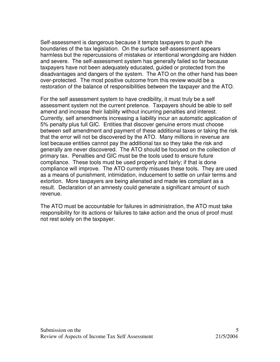Self-assessment is dangerous because it tempts taxpayers to push the boundaries of the tax legislation. On the surface self-assessment appears harmless but the repercussions of mistakes or intentional wrongdoing are hidden and severe. The self-assessment system has generally failed so far because taxpayers have not been adequately educated, guided or protected from the disadvantages and dangers of the system. The ATO on the other hand has been over-protected. The most positive outcome from this review would be a restoration of the balance of responsibilities between the taxpayer and the ATO.

For the self assessment system to have credibility, it must truly be a self assessment system not the current pretence. Taxpayers should be able to self amend and increase their liability without incurring penalties and interest. Currently, self amendments increasing a liability incur an automatic application of 5% penalty plus full GIC. Entities that discover genuine errors must choose between self amendment and payment of these additional taxes or taking the risk that the error will not be discovered by the ATO. Many millions in revenue are lost because entities cannot pay the additional tax so they take the risk and generally are never discovered. The ATO should be focused on the collection of primary tax. Penalties and GIC must be the tools used to ensure future compliance. These tools must be used properly and fairly; if that is done compliance will improve. The ATO currently misuses these tools. They are used as a means of punishment, intimidation, inducement to settle on unfair terms and extortion. More taxpayers are being alienated and made les compliant as a result. Declaration of an amnesty could generate a significant amount of such revenue.

The ATO must be accountable for failures in administration, the ATO must take responsibility for its actions or failures to take action and the onus of proof must not rest solely on the taxpayer.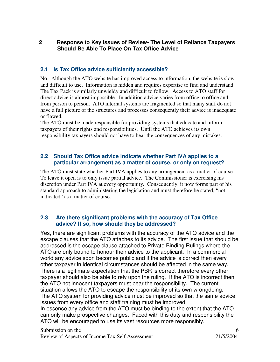# **2 Response to Key Issues of Review- The Level of Reliance Taxpayers Should Be Able To Place On Tax Office Advice**

# **2.1 Is Tax Office advice sufficiently accessible?**

No. Although the ATO website has improved access to information, the website is slow and difficult to use. Information is hidden and requires expertise to find and understand. The Tax Pack is similarly unwieldy and difficult to follow. Access to ATO staff for direct advice is almost impossible. In addition advice varies from office to office and from person to person. ATO internal systems are fragmented so that many staff do not have a full picture of the structures and processes consequently their advice is inadequate or flawed.

The ATO must be made responsible for providing systems that educate and inform taxpayers of their rights and responsibilities. Until the ATO achieves its own responsibility taxpayers should not have to bear the consequences of any mistakes.

# **2.2 Should Tax Office advice indicate whether Part IVA applies to a particular arrangement as a matter of course, or only on request?**

The ATO must state whether Part IVA applies to any arrangement as a matter of course. To leave it open is to only issue partial advice. The Commissioner is exercising his discretion under Part IVA at every opportunity. Consequently, it now forms part of his standard approach to administering the legislation and must therefore be stated, "not indicated" as a matter of course.

### **2.3 Are there significant problems with the accuracy of Tax Office advice? If so, how should they be addressed?**

Yes, there are significant problems with the accuracy of the ATO advice and the escape clauses that the ATO attaches to its advice. The first issue that should be addressed is the escape clause attached to Private Binding Rulings where the ATO are only bound to honour their advice to the applicant. In a commercial world any advice soon becomes public and if the advice is correct then every other taxpayer in identical circumstances should be affected in the same way. There is a legitimate expectation that the PBR is correct therefore every other taxpayer should also be able to rely upon the ruling. If the ATO is incorrect then the ATO not innocent taxpayers must bear the responsibility. The current situation allows the ATO to escape the responsibility of its own wrongdoing. The ATO system for providing advice must be improved so that the same advice issues from every office and staff training must be improved. In essence any advice from the ATO must be binding to the extent that the ATO can only make prospective changes. Faced with this duty and responsibility the

ATO will be encouraged to use its vast resources more responsibly.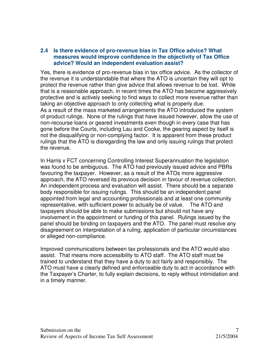#### **2.4 Is there evidence of pro-revenue bias in Tax Office advice? What measures would improve confidence in the objectivity of Tax Office advice? Would an independent evaluation assist?**

Yes, there is evidence of pro-revenue bias in tax office advice. As the collector of the revenue it is understandable that where the ATO is uncertain they will opt to protect the revenue rather than give advice that allows revenue to be lost. While that is a reasonable approach, in recent times the ATO has become aggressively protective and is actively seeking to find ways to collect more revenue rather than taking an objective approach to only collecting what is properly due. As a result of the mass marketed arrangements the ATO introduced the system of product rulings. None of the rulings that have issued however, allow the use of non-recourse loans or geared investments even though in every case that has gone before the Courts, including Lau and Cooke, the gearing aspect by itself is not the disqualifying or non-complying factor. It is apparent from these product rulings that the ATO is disregarding the law and only issuing rulings that protect the revenue.

In Harris v FCT concerning Controlling Interest Superannuation the legislation was found to be ambiguous. The ATO had previously issued advice and PBRs favouring the taxpayer. However, as a result of the ATOs more aggressive approach, the ATO reversed its previous decision in favour of revenue collection. An independent process and evaluation will assist. There should be a separate body responsible for issuing rulings. This should be an independent panel appointed from legal and accounting professionals and at least one community representative, with sufficient power to actually be of value. The ATO and taxpayers should be able to make submissions but should not have any involvement in the appointment or funding of this panel. Rulings issued by the panel should be binding on taxpayers and the ATO. The panel must resolve any disagreement on interpretation of a ruling, application of particular circumstances or alleged non-compliance.

Improved communications between tax professionals and the ATO would also assist. That means more accessibility to ATO staff. The ATO staff must be trained to understand that they have a duty to act fairly and responsibly. The ATO must have a clearly defined and enforceable duty to act in accordance with the Taxpayer's Charter, to fully explain decisions, to reply without intimidation and in a timely manner.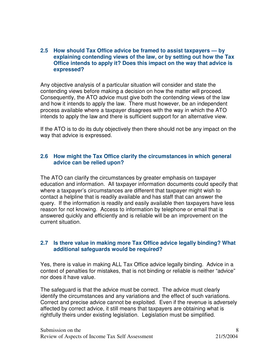#### **2.5 How should Tax Office advice be framed to assist taxpayers — by explaining contending views of the law, or by setting out how the Tax Office intends to apply it? Does this impact on the way that advice is expressed?**

Any objective analysis of a particular situation will consider and state the contending views before making a decision on how the matter will proceed. Consequently, the ATO advice must give both the contending views of the law and how it intends to apply the law. There must however, be an independent process available where a taxpayer disagrees with the way in which the ATO intends to apply the law and there is sufficient support for an alternative view.

If the ATO is to do its duty objectively then there should not be any impact on the way that advice is expressed.

## **2.6 How might the Tax Office clarify the circumstances in which general advice can be relied upon?**

The ATO can clarify the circumstances by greater emphasis on taxpayer education and information. All taxpayer information documents could specify that where a taxpayer's circumstances are different that taxpayer might wish to contact a helpline that is readily available and has staff that can answer the query. If the information is readily and easily available then taxpayers have less reason for not knowing. Access to information by telephone or email that is answered quickly and efficiently and is reliable will be an improvement on the current situation.

### **2.7 Is there value in making more Tax Office advice legally binding? What additional safeguards would be required?**

Yes, there is value in making ALL Tax Office advice legally binding. Advice in a context of penalties for mistakes, that is not binding or reliable is neither "advice" nor does it have value.

The safeguard is that the advice must be correct. The advice must clearly identify the circumstances and any variations and the effect of such variations. Correct and precise advice cannot be exploited. Even if the revenue is adversely affected by correct advice, it still means that taxpayers are obtaining what is rightfully theirs under existing legislation. Legislation must be simplified.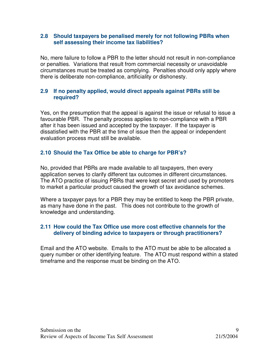#### **2.8 Should taxpayers be penalised merely for not following PBRs when self assessing their income tax liabilities?**

No, mere failure to follow a PBR to the letter should not result in non-compliance or penalties. Variations that result from commercial necessity or unavoidable circumstances must be treated as complying. Penalties should only apply where there is deliberate non-compliance, artificiality or dishonesty.

# **2.9 If no penalty applied, would direct appeals against PBRs still be required?**

Yes, on the presumption that the appeal is against the issue or refusal to issue a favourable PBR. The penalty process applies to non-compliance with a PBR after it has been issued and accepted by the taxpayer. If the taxpayer is dissatisfied with the PBR at the time of issue then the appeal or independent evaluation process must still be available.

# **2.10 Should the Tax Office be able to charge for PBR's?**

No, provided that PBRs are made available to all taxpayers, then every application serves to clarify different tax outcomes in different circumstances. The ATO practice of issuing PBRs that were kept secret and used by promoters to market a particular product caused the growth of tax avoidance schemes.

Where a taxpayer pays for a PBR they may be entitled to keep the PBR private, as many have done in the past. This does not contribute to the growth of knowledge and understanding.

# **2.11 How could the Tax Office use more cost effective channels for the delivery of binding advice to taxpayers or through practitioners?**

Email and the ATO website. Emails to the ATO must be able to be allocated a query number or other identifying feature. The ATO must respond within a stated timeframe and the response must be binding on the ATO.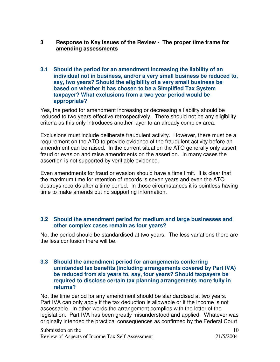- **3 Response to Key Issues of the Review - The proper time frame for amending assessments**
- **3.1 Should the period for an amendment increasing the liability of an individual not in business, and/or a very small business be reduced to, say, two years? Should the eligibility of a very small business be based on whether it has chosen to be a Simplified Tax System taxpayer? What exclusions from a two year period would be appropriate?**

Yes, the period for amendment increasing or decreasing a liability should be reduced to two years effective retrospectively. There should not be any eligibility criteria as this only introduces another layer to an already complex area.

Exclusions must include deliberate fraudulent activity. However, there must be a requirement on the ATO to provide evidence of the fraudulent activity before an amendment can be raised. In the current situation the ATO generally only assert fraud or evasion and raise amendments on the assertion. In many cases the assertion is not supported by verifiable evidence.

Even amendments for fraud or evasion should have a time limit. It is clear that the maximum time for retention of records is seven years and even the ATO destroys records after a time period. In those circumstances it is pointless having time to make amends but no supporting information.

### **3.2 Should the amendment period for medium and large businesses and other complex cases remain as four years?**

No, the period should be standardised at two years. The less variations there are the less confusion there will be.

#### **3.3 Should the amendment period for arrangements conferring unintended tax benefits (including arrangements covered by Part IVA) be reduced from six years to, say, four years? Should taxpayers be required to disclose certain tax planning arrangements more fully in returns?**

No, the time period for any amendment should be standardised at two years. Part IVA can only apply if the tax deduction is allowable or if the income is not assessable. In other words the arrangement complies with the letter of the legislation. Part IVA has been greatly misunderstood and applied. Whatever was originally intended the practical consequences as confirmed by the Federal Court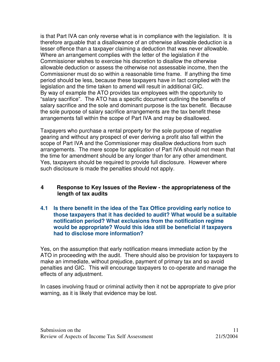is that Part IVA can only reverse what is in compliance with the legislation. It is therefore arguable that a disallowance of an otherwise allowable deduction is a lesser offence than a taxpayer claiming a deduction that was never allowable. Where an arrangement complies with the letter of the legislation if the Commissioner wishes to exercise his discretion to disallow the otherwise allowable deduction or assess the otherwise not assessable income, then the Commissioner must do so within a reasonable time frame. If anything the time period should be less, because these taxpayers have in fact complied with the legislation and the time taken to amend will result in additional GIC. By way of example the ATO provides tax employees with the opportunity to "salary sacrifice". The ATO has a specific document outlining the benefits of salary sacrifice and the sole and dominant purpose is the tax benefit. Because the sole purpose of salary sacrifice arrangements are the tax benefit these arrangements fall within the scope of Part IVA and may be disallowed.

Taxpayers who purchase a rental property for the sole purpose of negative gearing and without any prospect of ever deriving a profit also fall within the scope of Part IVA and the Commissioner may disallow deductions from such arrangements. The mere scope for application of Part IVA should not mean that the time for amendment should be any longer than for any other amendment. Yes, taxpayers should be required to provide full disclosure. However where such disclosure is made the penalties should not apply.

### **4 Response to Key Issues of the Review - the appropriateness of the length of tax audits**

**4.1 Is there benefit in the idea of the Tax Office providing early notice to those taxpayers that it has decided to audit? What would be a suitable notification period? What exclusions from the notification regime would be appropriate? Would this idea still be beneficial if taxpayers had to disclose more information?**

Yes, on the assumption that early notification means immediate action by the ATO in proceeding with the audit. There should also be provision for taxpayers to make an immediate, without prejudice, payment of primary tax and so avoid penalties and GIC. This will encourage taxpayers to co-operate and manage the effects of any adjustment.

In cases involving fraud or criminal activity then it not be appropriate to give prior warning, as it is likely that evidence may be lost.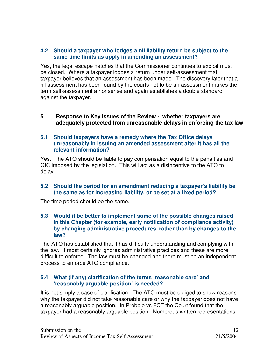## **4.2 Should a taxpayer who lodges a nil liability return be subject to the same time limits as apply in amending an assessment?**

Yes, the legal escape hatches that the Commissioner continues to exploit must be closed. Where a taxpayer lodges a return under self-assessment that taxpayer believes that an assessment has been made. The discovery later that a nil assessment has been found by the courts not to be an assessment makes the term self-assessment a nonsense and again establishes a double standard against the taxpayer.

#### **5 Response to Key Issues of the Review - whether taxpayers are adequately protected from unreasonable delays in enforcing the tax law**

#### **5.1 Should taxpayers have a remedy where the Tax Office delays unreasonably in issuing an amended assessment after it has all the relevant information?**

Yes. The ATO should be liable to pay compensation equal to the penalties and GIC imposed by the legislation. This will act as a disincentive to the ATO to delay.

# **5.2 Should the period for an amendment reducing a taxpayer's liability be the same as for increasing liability, or be set at a fixed period?**

The time period should be the same.

#### **5.3 Would it be better to implement some of the possible changes raised in this Chapter (for example, early notification of compliance activity) by changing administrative procedures, rather than by changes to the law?**

The ATO has established that it has difficulty understanding and complying with the law. It most certainly ignores administrative practices and these are more difficult to enforce. The law must be changed and there must be an independent process to enforce ATO compliance.

### **5.4 What (if any) clarification of the terms 'reasonable care' and 'reasonably arguable position' is needed?**

It is not simply a case of clarification. The ATO must be obliged to show reasons why the taxpayer did not take reasonable care or why the taxpayer does not have a reasonably arguable position. In Prebble vs FCT the Court found that the taxpayer had a reasonably arguable position. Numerous written representations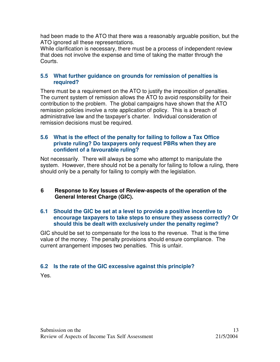had been made to the ATO that there was a reasonably arguable position, but the ATO ignored all these representations.

While clarification is necessary, there must be a process of independent review that does not involve the expense and time of taking the matter through the Courts.

## **5.5 What further guidance on grounds for remission of penalties is required?**

There must be a requirement on the ATO to justify the imposition of penalties. The current system of remission allows the ATO to avoid responsibility for their contribution to the problem. The global campaigns have shown that the ATO remission policies involve a rote application of policy. This is a breach of administrative law and the taxpayer's charter. Individual consideration of remission decisions must be required.

## **5.6 What is the effect of the penalty for failing to follow a Tax Office private ruling? Do taxpayers only request PBRs when they are confident of a favourable ruling?**

Not necessarily. There will always be some who attempt to manipulate the system. However, there should not be a penalty for failing to follow a ruling, there should only be a penalty for failing to comply with the legislation.

# **6 Response to Key Issues of Review-aspects of the operation of the General Interest Charge (GIC).**

#### **6.1 Should the GIC be set at a level to provide a positive incentive to encourage taxpayers to take steps to ensure they assess correctly? Or should this be dealt with exclusively under the penalty regime?**

GIC should be set to compensate for the loss to the revenue. That is the time value of the money. The penalty provisions should ensure compliance. The current arrangement imposes two penalties. This is unfair.

# **6.2 Is the rate of the GIC excessive against this principle?**

Yes.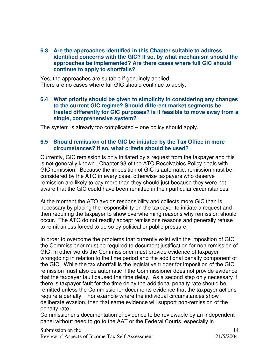**6.3 Are the approaches identified in this Chapter suitable to address identified concerns with the GIC? If so, by what mechanism should the approaches be implemented? Are there cases where full GIC should continue to apply to shortfalls?**

Yes, the approaches are suitable if genuinely applied. There are no cases where full GIC should continue to apply.

#### **6.4 What priority should be given to simplicity in considering any changes to the current GIC regime? Should different market segments be treated differently for GIC purposes? Is it feasible to move away from a single, comprehensive system?**

The system is already too complicated – one policy should apply.

### **6.5 Should remission of the GIC be initiated by the Tax Office in more circumstances? If so, what criteria should be used?**

Currently, GIC remission is only initiated by a request from the taxpayer and this is not generally known. Chapter 93 of the ATO Receivables Policy deals with GIC remission. Because the imposition of GIC is automatic, remission must be considered by the ATO in every case, otherwise taxpayers who deserve remission are likely to pay more than they should just because they were not aware that the GIC could have been remitted in their particular circumstances.

At the moment the ATO avoids responsibility and collects more GIC than is necessary by placing the responsibility on the taxpayer to initiate a request and then requiring the taxpayer to show overwhelming reasons why remission should occur. The ATO do not readily accept remissions reasons and generally refuse to remit unless forced to do so by political or public pressure.

In order to overcome the problems that currently exist with the imposition of GIC, the Commissioner must be required to document justification for non-remission of GIC; In other words the Commissioner must provide evidence of taxpayer wrongdoing in relation to the time period and the additional penalty component of the GIC. While the tax shortfall is the legislative trigger for imposition of the GIC, remission must also be automatic if the Commissioner does not provide evidence that the taxpayer fault caused the time delay. As a second step only necessary if there is taxpayer fault for the time delay the additional penalty rate should be remitted unless the Commissioner documents evidence that the taxpayer actions require a penalty. For example where the individual circumstances show deliberate evasion, then that same evidence will support non-remission of the penalty rate.

Commissioner's documentation of evidence to be reviewable by an independent panel without need to go to the AAT or the Federal Courts, especially in